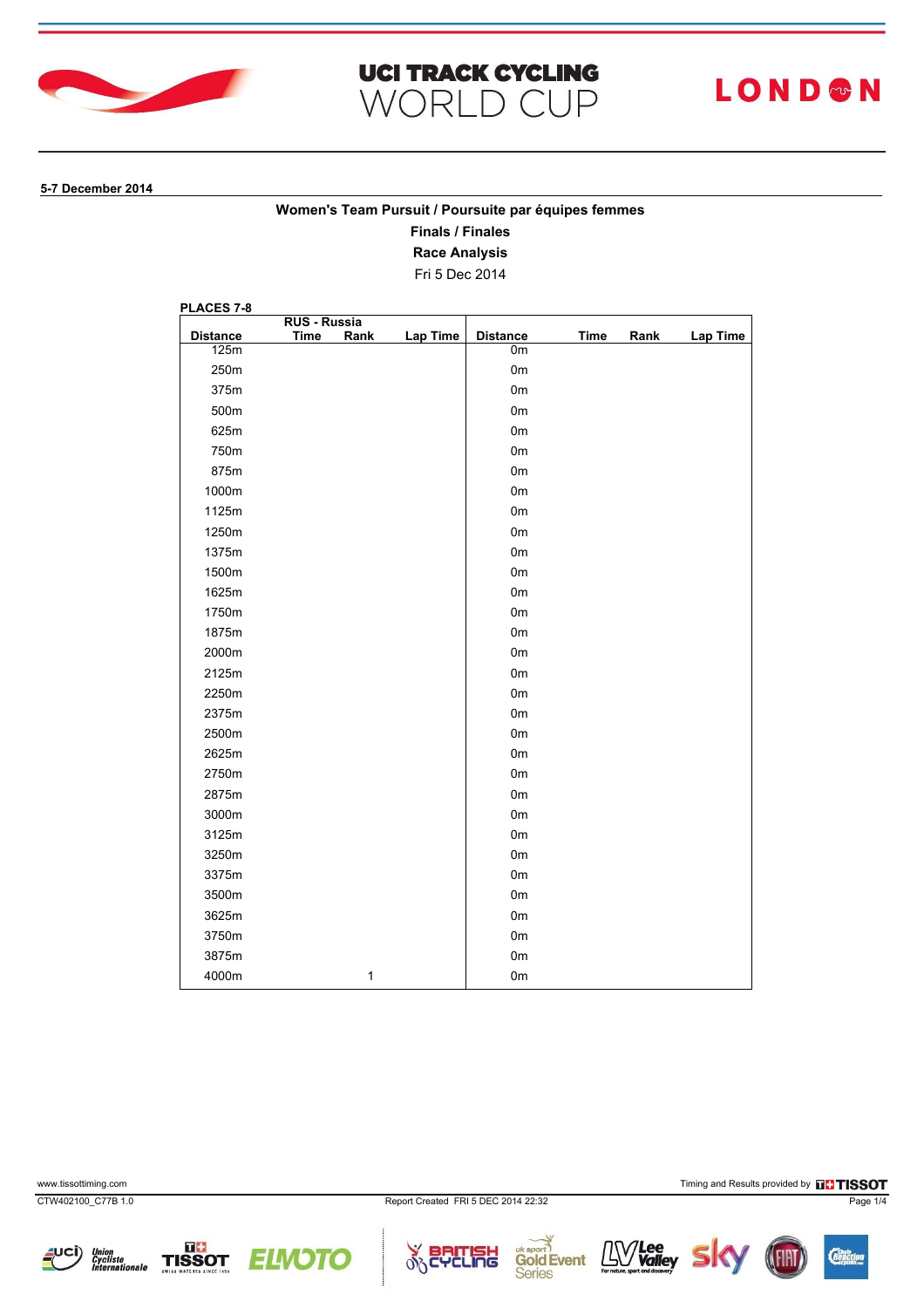



# **LOND®N**

#### **5-7 December 2014**

### **Women's Team Pursuit / Poursuite par équipes femmes**

**Finals / Finales**

**Race Analysis**

Fri 5 Dec 2014

| PLACES 7-8      |                                    |              |          |                 |             |      |                 |
|-----------------|------------------------------------|--------------|----------|-----------------|-------------|------|-----------------|
| <b>Distance</b> | <b>RUS - Russia</b><br><b>Time</b> | Rank         | Lap Time | <b>Distance</b> | <b>Time</b> | Rank | <b>Lap Time</b> |
| 125m            |                                    |              |          | 0m              |             |      |                 |
| 250m            |                                    |              |          | 0 <sub>m</sub>  |             |      |                 |
| 375m            |                                    |              |          | 0 <sub>m</sub>  |             |      |                 |
| 500m            |                                    |              |          | 0 <sub>m</sub>  |             |      |                 |
| 625m            |                                    |              |          | 0 <sub>m</sub>  |             |      |                 |
| 750m            |                                    |              |          | 0 <sub>m</sub>  |             |      |                 |
| 875m            |                                    |              |          | 0 <sub>m</sub>  |             |      |                 |
| 1000m           |                                    |              |          | 0 <sub>m</sub>  |             |      |                 |
| 1125m           |                                    |              |          | 0 <sub>m</sub>  |             |      |                 |
| 1250m           |                                    |              |          | 0 <sub>m</sub>  |             |      |                 |
| 1375m           |                                    |              |          | 0 <sub>m</sub>  |             |      |                 |
| 1500m           |                                    |              |          | 0 <sub>m</sub>  |             |      |                 |
| 1625m           |                                    |              |          | 0 <sub>m</sub>  |             |      |                 |
| 1750m           |                                    |              |          | 0 <sub>m</sub>  |             |      |                 |
| 1875m           |                                    |              |          | 0 <sub>m</sub>  |             |      |                 |
| 2000m           |                                    |              |          | 0 <sub>m</sub>  |             |      |                 |
| 2125m           |                                    |              |          | 0 <sub>m</sub>  |             |      |                 |
| 2250m           |                                    |              |          | 0 <sub>m</sub>  |             |      |                 |
| 2375m           |                                    |              |          | 0 <sub>m</sub>  |             |      |                 |
| 2500m           |                                    |              |          | 0 <sub>m</sub>  |             |      |                 |
| 2625m           |                                    |              |          | 0 <sub>m</sub>  |             |      |                 |
| 2750m           |                                    |              |          | 0 <sub>m</sub>  |             |      |                 |
| 2875m           |                                    |              |          | 0 <sub>m</sub>  |             |      |                 |
| 3000m           |                                    |              |          | 0 <sub>m</sub>  |             |      |                 |
| 3125m           |                                    |              |          | 0 <sub>m</sub>  |             |      |                 |
| 3250m           |                                    |              |          | 0 <sub>m</sub>  |             |      |                 |
| 3375m           |                                    |              |          | 0 <sub>m</sub>  |             |      |                 |
| 3500m           |                                    |              |          | 0 <sub>m</sub>  |             |      |                 |
| 3625m           |                                    |              |          | 0 <sub>m</sub>  |             |      |                 |
| 3750m           |                                    |              |          | 0 <sub>m</sub>  |             |      |                 |
| 3875m           |                                    |              |          | 0 <sub>m</sub>  |             |      |                 |
| 4000m           |                                    | $\mathbf{1}$ |          | 0m              |             |      |                 |

www.tissottiming.com **Timing and Results provided by FINSOT** 









 $\mathbf{L} \mathbf{W}$  **Lee** 

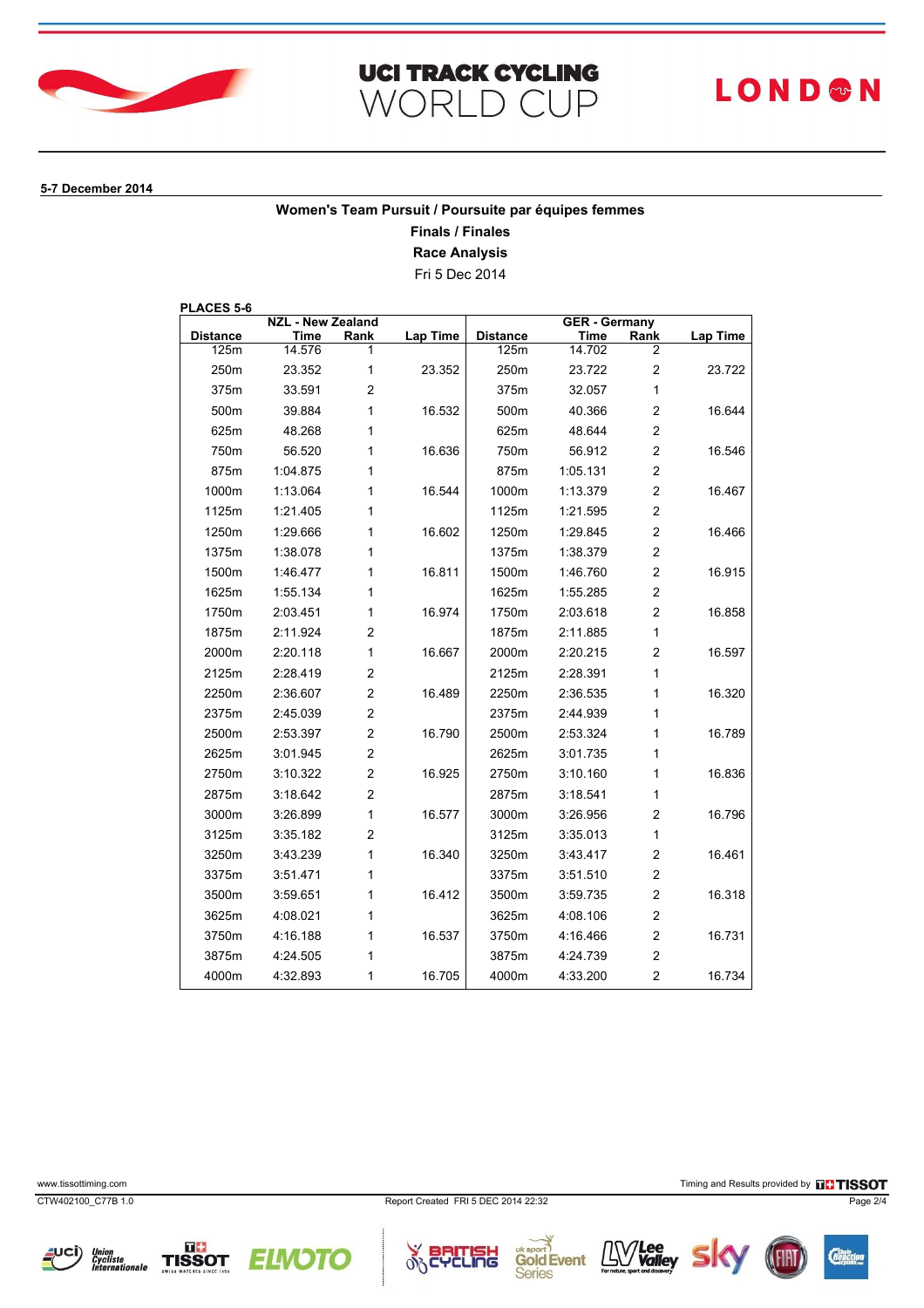

## **UCI TRACK CYCLING WORLD CUP**

# **LOND®N**

#### **5-7 December 2014**

### **Women's Team Pursuit / Poursuite par équipes femmes**

**Finals / Finales**

**Race Analysis**

Fri 5 Dec 2014

**PLACES 5-6**

| <b>NZL - New Zealand</b> |          |                | <b>GER - Germany</b> |                 |          |                         |                 |
|--------------------------|----------|----------------|----------------------|-----------------|----------|-------------------------|-----------------|
| <b>Distance</b>          | Time     | Rank           | <b>Lap Time</b>      | <b>Distance</b> | Time     | Rank                    | <b>Lap Time</b> |
| 125m                     | 14.576   | 1              |                      | 125m            | 14.702   | 2                       |                 |
| 250m                     | 23.352   | 1              | 23.352               | 250m            | 23.722   | $\overline{c}$          | 23.722          |
| 375m                     | 33.591   | $\overline{c}$ |                      | 375m            | 32.057   | 1                       |                 |
| 500m                     | 39.884   | 1              | 16.532               | 500m            | 40.366   | $\overline{\mathbf{c}}$ | 16.644          |
| 625m                     | 48.268   | 1              |                      | 625m            | 48.644   | $\overline{c}$          |                 |
| 750m                     | 56.520   | 1              | 16.636               | 750m            | 56.912   | $\overline{c}$          | 16.546          |
| 875m                     | 1:04.875 | 1              |                      | 875m            | 1:05.131 | $\overline{\mathbf{c}}$ |                 |
| 1000m                    | 1:13.064 | 1              | 16.544               | 1000m           | 1:13.379 | $\overline{c}$          | 16.467          |
| 1125m                    | 1:21.405 | 1              |                      | 1125m           | 1:21.595 | $\overline{\mathbf{c}}$ |                 |
| 1250m                    | 1:29.666 | 1              | 16.602               | 1250m           | 1:29.845 | $\overline{c}$          | 16.466          |
| 1375m                    | 1:38.078 | 1              |                      | 1375m           | 1:38.379 | $\overline{c}$          |                 |
| 1500m                    | 1:46.477 | 1              | 16.811               | 1500m           | 1:46.760 | $\overline{\mathbf{c}}$ | 16.915          |
| 1625m                    | 1:55.134 | 1              |                      | 1625m           | 1:55.285 | $\overline{c}$          |                 |
| 1750m                    | 2:03.451 | 1              | 16.974               | 1750m           | 2:03.618 | $\overline{c}$          | 16.858          |
| 1875m                    | 2:11.924 | $\overline{c}$ |                      | 1875m           | 2:11.885 | $\mathbf{1}$            |                 |
| 2000m                    | 2:20.118 | 1              | 16.667               | 2000m           | 2:20.215 | $\overline{c}$          | 16.597          |
| 2125m                    | 2:28.419 | $\overline{c}$ |                      | 2125m           | 2:28.391 | 1                       |                 |
| 2250m                    | 2:36.607 | $\overline{2}$ | 16.489               | 2250m           | 2:36.535 | 1                       | 16.320          |
| 2375m                    | 2:45.039 | $\overline{c}$ |                      | 2375m           | 2:44.939 | 1                       |                 |
| 2500m                    | 2:53.397 | $\overline{c}$ | 16.790               | 2500m           | 2:53.324 | 1                       | 16.789          |
| 2625m                    | 3:01.945 | $\overline{c}$ |                      | 2625m           | 3:01.735 | 1                       |                 |
| 2750m                    | 3:10.322 | $\overline{c}$ | 16.925               | 2750m           | 3:10.160 | 1                       | 16.836          |
| 2875m                    | 3:18.642 | $\overline{c}$ |                      | 2875m           | 3:18.541 | 1                       |                 |
| 3000m                    | 3:26.899 | 1              | 16.577               | 3000m           | 3:26.956 | $\overline{c}$          | 16.796          |
| 3125m                    | 3:35.182 | $\overline{c}$ |                      | 3125m           | 3:35.013 | 1                       |                 |
| 3250m                    | 3:43.239 | 1              | 16.340               | 3250m           | 3:43.417 | $\overline{c}$          | 16.461          |
| 3375m                    | 3:51.471 | 1              |                      | 3375m           | 3:51.510 | $\overline{\mathbf{c}}$ |                 |
| 3500m                    | 3:59.651 | 1              | 16.412               | 3500m           | 3:59.735 | $\overline{\mathbf{c}}$ | 16.318          |
| 3625m                    | 4:08.021 | 1              |                      | 3625m           | 4:08.106 | $\overline{\mathbf{c}}$ |                 |
| 3750m                    | 4:16.188 | 1              | 16.537               | 3750m           | 4:16.466 | $\overline{c}$          | 16.731          |
| 3875m                    | 4:24.505 | 1              |                      | 3875m           | 4:24.739 | $\overline{c}$          |                 |
| 4000m                    | 4:32.893 | 1              | 16.705               | 4000m           | 4:33.200 | $\overline{c}$          | 16.734          |



www.tissottiming.com **Timing and Results provided by FINSOT** 









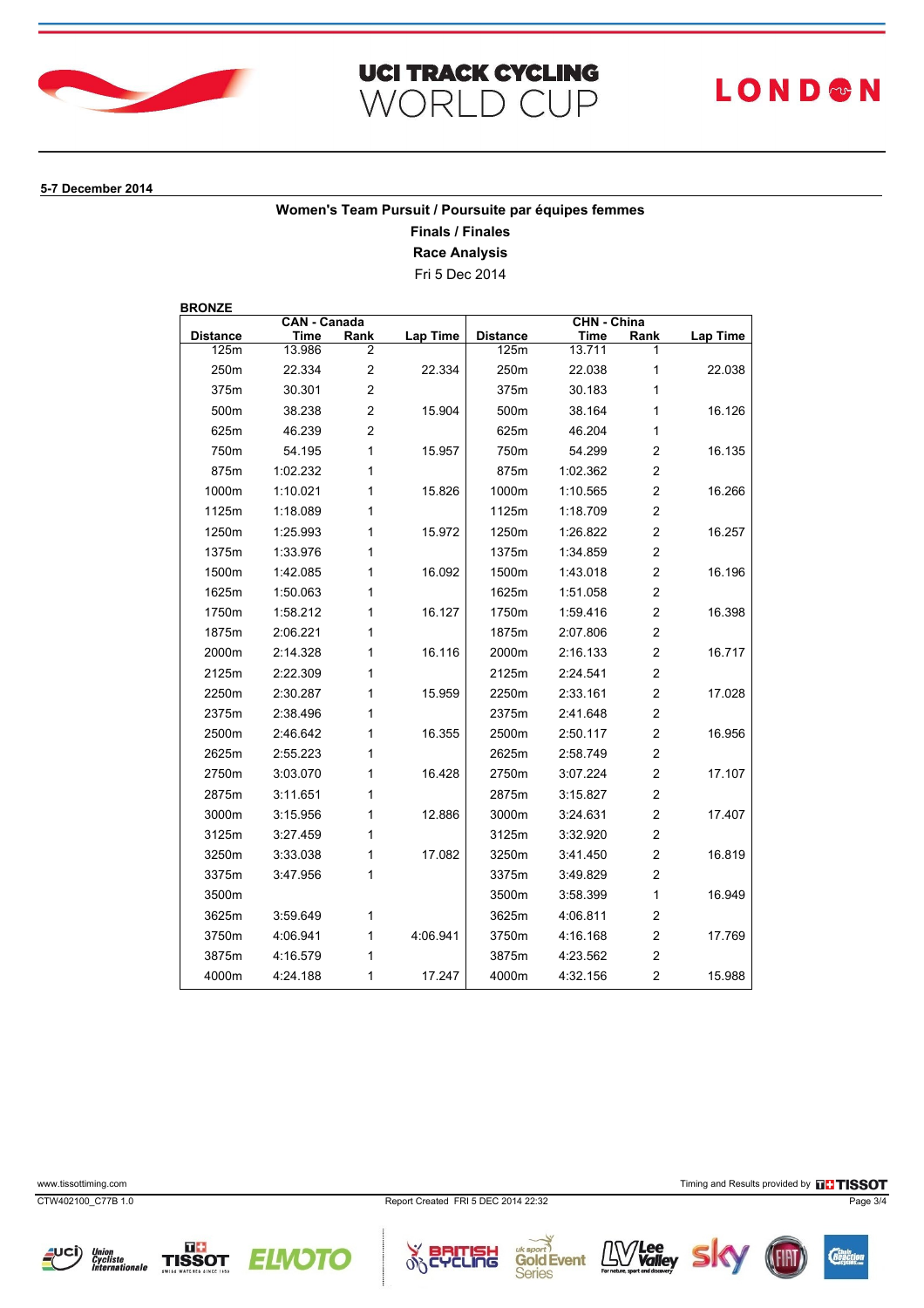

## **UCI TRACK CYCLING WORLD CUP**

# **LOND®N**

#### **5-7 December 2014**

### **Women's Team Pursuit / Poursuite par équipes femmes**

**Finals / Finales**

**Race Analysis**

Fri 5 Dec 2014

**BRONZE**

| <b>CAN - Canada</b> |          |                | CHN - China |                 |          |                         |                 |
|---------------------|----------|----------------|-------------|-----------------|----------|-------------------------|-----------------|
| <b>Distance</b>     | Time     | Rank           | Lap Time    | <b>Distance</b> | Time     | Rank                    | <b>Lap Time</b> |
| 125m                | 13.986   | 2              |             | 125m            | 13.711   |                         |                 |
| 250m                | 22.334   | $\overline{c}$ | 22.334      | 250m            | 22.038   | 1                       | 22.038          |
| 375m                | 30.301   | $\overline{c}$ |             | 375m            | 30.183   | 1                       |                 |
| 500m                | 38.238   | $\overline{c}$ | 15.904      | 500m            | 38.164   | 1                       | 16.126          |
| 625m                | 46.239   | $\overline{2}$ |             | 625m            | 46.204   | $\mathbf{1}$            |                 |
| 750m                | 54.195   | 1              | 15.957      | 750m            | 54.299   | $\overline{c}$          | 16.135          |
| 875m                | 1:02.232 | 1              |             | 875m            | 1:02.362 | $\overline{c}$          |                 |
| 1000m               | 1:10.021 | 1              | 15.826      | 1000m           | 1:10.565 | $\overline{2}$          | 16.266          |
| 1125m               | 1:18.089 | 1              |             | 1125m           | 1:18.709 | $\overline{c}$          |                 |
| 1250m               | 1:25.993 | 1              | 15.972      | 1250m           | 1:26.822 | $\overline{c}$          | 16.257          |
| 1375m               | 1:33.976 | 1              |             | 1375m           | 1:34.859 | $\overline{2}$          |                 |
| 1500m               | 1:42.085 | 1              | 16.092      | 1500m           | 1:43.018 | $\overline{2}$          | 16.196          |
| 1625m               | 1:50.063 | 1              |             | 1625m           | 1:51.058 | $\overline{c}$          |                 |
| 1750m               | 1:58.212 | 1              | 16.127      | 1750m           | 1:59.416 | $\overline{2}$          | 16.398          |
| 1875m               | 2:06.221 | 1              |             | 1875m           | 2:07.806 | $\overline{2}$          |                 |
| 2000m               | 2:14.328 | 1              | 16.116      | 2000m           | 2:16.133 | $\overline{2}$          | 16.717          |
| 2125m               | 2:22.309 | 1              |             | 2125m           | 2:24.541 | $\overline{2}$          |                 |
| 2250m               | 2:30.287 | 1              | 15.959      | 2250m           | 2:33.161 | $\overline{2}$          | 17.028          |
| 2375m               | 2:38.496 | 1              |             | 2375m           | 2:41.648 | $\overline{2}$          |                 |
| 2500m               | 2:46.642 | 1              | 16.355      | 2500m           | 2:50.117 | $\overline{2}$          | 16.956          |
| 2625m               | 2:55.223 | 1              |             | 2625m           | 2:58.749 | $\overline{\mathbf{c}}$ |                 |
| 2750m               | 3:03.070 | 1              | 16.428      | 2750m           | 3:07.224 | $\overline{2}$          | 17.107          |
| 2875m               | 3:11.651 | 1              |             | 2875m           | 3:15.827 | $\overline{2}$          |                 |
| 3000m               | 3:15.956 | 1              | 12.886      | 3000m           | 3:24.631 | $\overline{2}$          | 17.407          |
| 3125m               | 3:27.459 | 1              |             | 3125m           | 3:32.920 | $\overline{2}$          |                 |
| 3250m               | 3:33.038 | 1              | 17.082      | 3250m           | 3:41.450 | $\overline{2}$          | 16.819          |
| 3375m               | 3:47.956 | 1              |             | 3375m           | 3:49.829 | $\overline{2}$          |                 |
| 3500m               |          |                |             | 3500m           | 3:58.399 | $\mathbf{1}$            | 16.949          |
| 3625m               | 3:59.649 | 1              |             | 3625m           | 4:06.811 | $\overline{c}$          |                 |
| 3750m               | 4:06.941 | 1              | 4:06.941    | 3750m           | 4:16.168 | $\overline{2}$          | 17.769          |
| 3875m               | 4:16.579 | 1              |             | 3875m           | 4:23.562 | $\overline{2}$          |                 |
| 4000m               | 4:24.188 | 1              | 17.247      | 4000m           | 4:32.156 | $\overline{2}$          | 15.988          |

CTW402100\_C77B 1.0 Report Created FRI 5 DEC 2014 22:32 Page 3/4

Union<br>Cycliste<br>Internationale

www.tissottiming.com **Timing and Results provided by FINSOT**